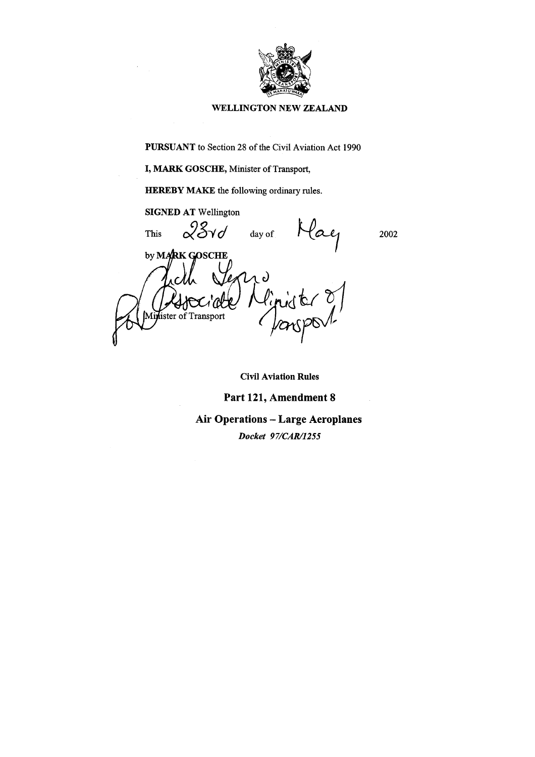

#### **WELLINGTON NEW ZEALAND**

**PURSUANT** to Section 28 of the Civil Aviation Act 1990

I, MARK GOSCHE, Minister of Transport,

**HEREBY MAKE** the following ordinary rules.

**SIGNED AT Wellington**  $28$ vd day of **This** 2002 by MARK GOSCHE lined Or lister of Transport

**Civil Aviation Rules** 

#### Part 121, Amendment 8

# **Air Operations - Large Aeroplanes**

Docket 97/CAR/1255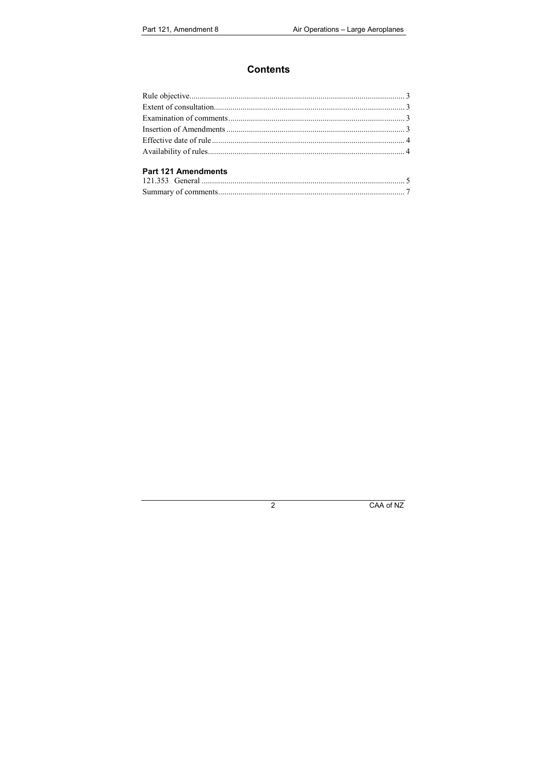# **Contents**

#### Part 121 Amendments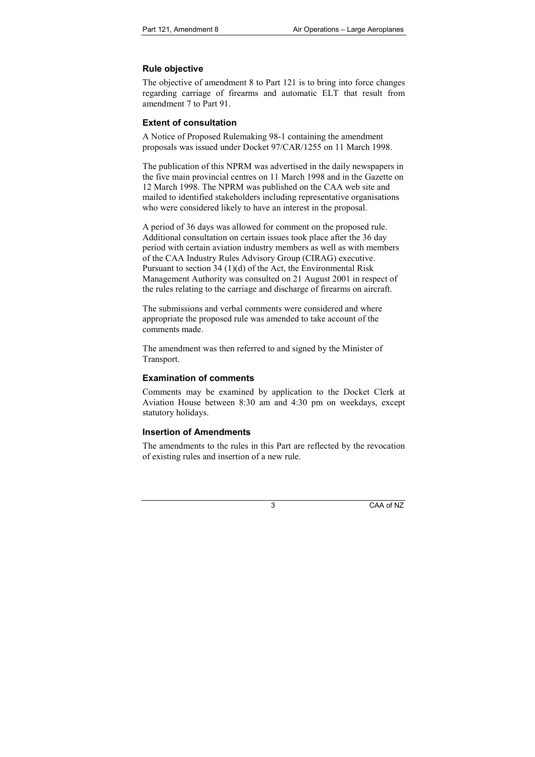# **Rule objective**

The objective of amendment 8 to Part 121 is to bring into force changes regarding carriage of firearms and automatic ELT that result from amendment 7 to Part 91.

# **Extent of consultation**

A Notice of Proposed Rulemaking 98-1 containing the amendment proposals was issued under Docket 97/CAR/1255 on 11 March 1998.

The publication of this NPRM was advertised in the daily newspapers in the five main provincial centres on 11 March 1998 and in the Gazette on 12 March 1998. The NPRM was published on the CAA web site and mailed to identified stakeholders including representative organisations who were considered likely to have an interest in the proposal.

A period of 36 days was allowed for comment on the proposed rule. Additional consultation on certain issues took place after the 36 day period with certain aviation industry members as well as with members of the CAA Industry Rules Advisory Group (CIRAG) executive. Pursuant to section 34 (1)(d) of the Act, the Environmental Risk Management Authority was consulted on 21 August 2001 in respect of the rules relating to the carriage and discharge of firearms on aircraft.

The submissions and verbal comments were considered and where appropriate the proposed rule was amended to take account of the comments made.

The amendment was then referred to and signed by the Minister of Transport.

# **Examination of comments**

Comments may be examined by application to the Docket Clerk at Aviation House between 8:30 am and 4:30 pm on weekdays, except statutory holidays.

# **Insertion of Amendments**

The amendments to the rules in this Part are reflected by the revocation of existing rules and insertion of a new rule.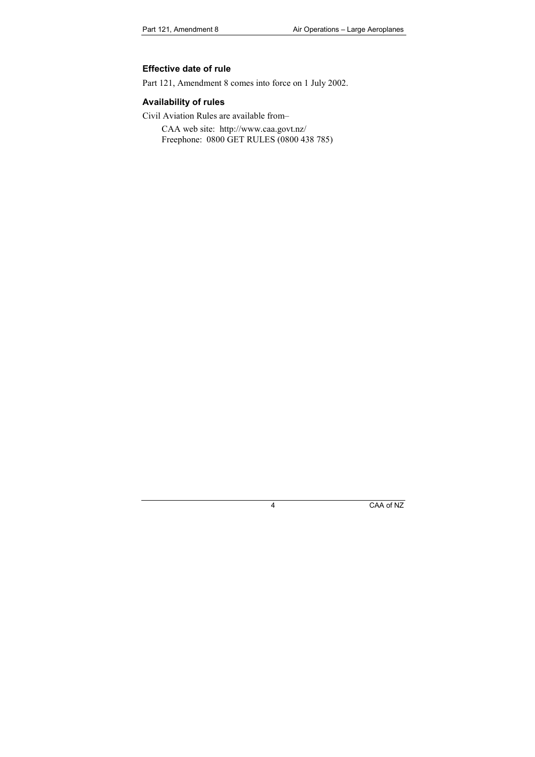#### **Effective date of rule**

Part 121, Amendment 8 comes into force on 1 July 2002.

# **Availability of rules**

Civil Aviation Rules are available from–

CAA web site: http://www.caa.govt.nz/ Freephone: 0800 GET RULES (0800 438 785)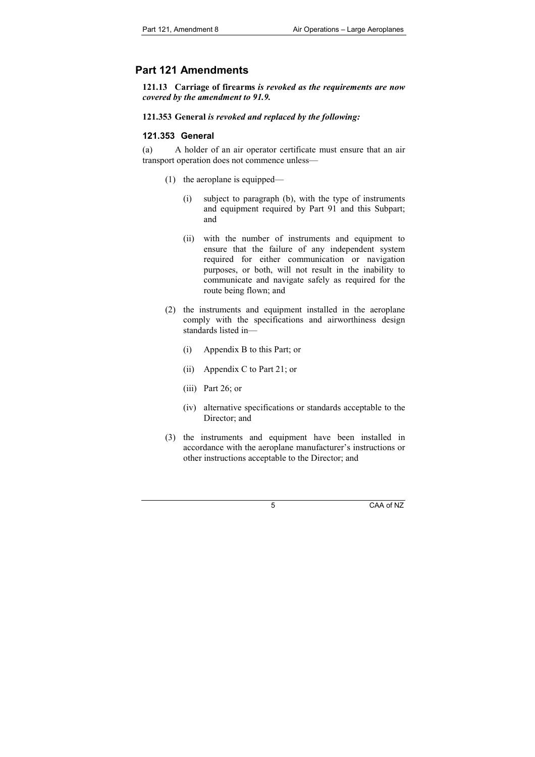# **Part 121 Amendments**

**121.13 Carriage of firearms** *is revoked as the requirements are now covered by the amendment to 91.9.*

#### **121.353 General** *is revoked and replaced by the following:*

#### **121.353 General**

(a) A holder of an air operator certificate must ensure that an air transport operation does not commence unless—

- (1) the aeroplane is equipped—
	- (i) subject to paragraph (b), with the type of instruments and equipment required by Part 91 and this Subpart; and
	- (ii) with the number of instruments and equipment to ensure that the failure of any independent system required for either communication or navigation purposes, or both, will not result in the inability to communicate and navigate safely as required for the route being flown; and
- (2) the instruments and equipment installed in the aeroplane comply with the specifications and airworthiness design standards listed in—
	- (i) Appendix B to this Part; or
	- (ii) Appendix C to Part 21; or
	- (iii) Part 26; or
	- (iv) alternative specifications or standards acceptable to the Director: and
- (3) the instruments and equipment have been installed in accordance with the aeroplane manufacturer's instructions or other instructions acceptable to the Director; and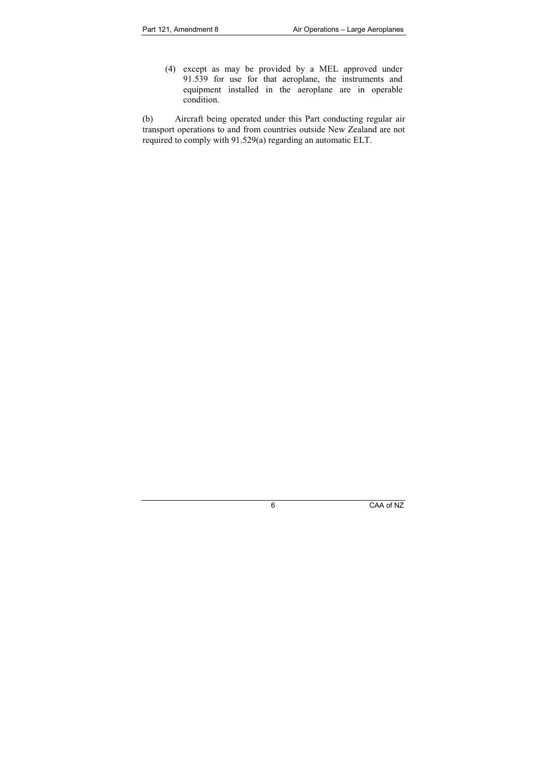(4) except as may be provided by a MEL approved under 91.539 for use for that aeroplane, the instruments and equipment installed in the aeroplane are in operable condition.

(b) Aircraft being operated under this Part conducting regular air transport operations to and from countries outside New Zealand are not required to comply with 91.529(a) regarding an automatic ELT.